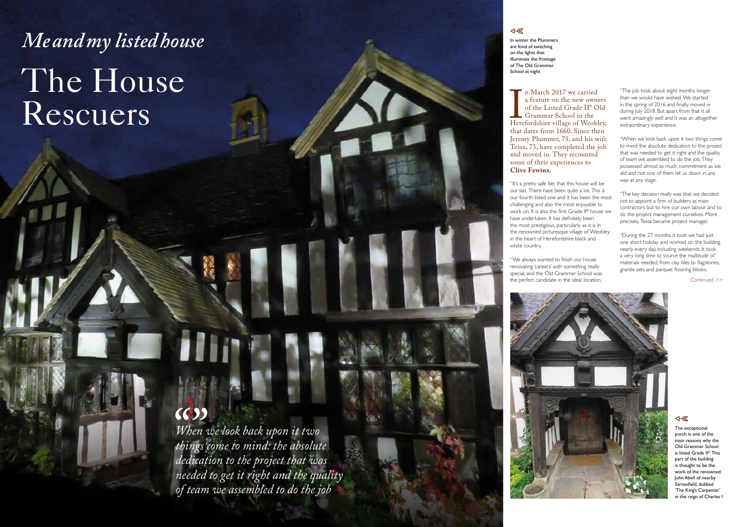In winter the Plummers are fond of switching on the lights that illuminate the frontage of The Old Grammar School at night

*When we look back upon it two things come to mind: the absolute dedication to the project that was needed to get it right and the quality of team we assembled to do the job*

## 4- 区

Here<br>
that n March 2017 we carried a feature on the new owners of the Listed Grade II\* Old **L** Grammar School in the Herefordshire village of Weobley, that dates from 1660. Since then Jeremy Plummer, 75, and his wife Tessa, 73, have completed the job and moved in. They recounted some of their experiences to **Clive Fewins.**

"It's a pretty safe bet that this house will be

our last. There have been quite a lot. This is our fourth listed one and it has been the most challenging and also the most enjoyable to work on. It is also the first Grade II\* house we have undertaken. It has definitely been the most prestigious, particularly as it is in the renowned picturesque village of Weobley in the heart of Herefordshire black and white country.

"We always wanted to finish our house renovating 'careers' with something really special, and the Old Grammar School was the perfect candidate in the ideal location.



"The job took about eight months longer than we would have wished. We started in the spring of 2016 and finally moved in during July 2018. But apart from that it all went amazingly well and it was an altogether extraordinary experience.

"When we look back upon it two things come to mind: the absolute dedication to the project that was needed to get it right and the quality of team we assembled to do the job. They possessed almost as much commitment as we did and not one of them let us down in any way at any stage.

"The key decision really was that we decided not to appoint a firm of builders as main contractors but to hire our own labour and to do the project management ourselves. More precisely, Tessa became project manager.

"During the 27 months it took we had just one short holiday and worked on the building nearly every day, including weekends. It took a very long time to source the multitude of materials needed, from clay tiles to flagstones, granite sets and parquet flooring blocks.

# *Me and my listed house* The House Rescuers

## $(6)$

Continued >>

#### 4- 区

The exceptional porch is one of the main reasons why the Old Grammar School is listed Grade II\*. This part of the building is thought to be the work of the renowned John Abell of nearby Sarnesfield, dubbed 'The King's Carpenter' in the reign of Charles I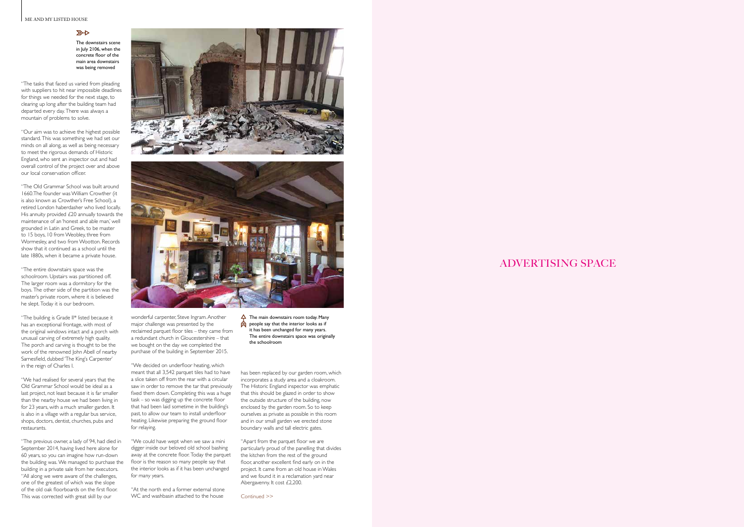#### ME AND MY LISTED HOUSE

### $R$

## ADVERTISING SPACE

Continued >>

"The tasks that faced us varied from pleading with suppliers to hit near impossible deadlines for things we needed for the next stage, to clearing up long after the building team had departed every day. There was always a mountain of problems to solve.

"Our aim was to achieve the highest possible standard. This was something we had set our minds on all along, as well as being necessary to meet the rigorous demands of Historic England, who sent an inspector out and had overall control of the project over and above our local conservation officer.

"The Old Grammar School was built around 1660.The founder was William Crowther (it is also known as Crowther's Free School), a retired London haberdasher who lived locally. His annuity provided £20 annually towards the maintenance of an 'honest and able man,' well grounded in Latin and Greek, to be master to 15 boys, 10 from Weobley, three from Wormesley, and two from Wootton. Records show that it continued as a school until the late 1880s, when it became a private house.

"The entire downstairs space was the schoolroom. Upstairs was partitioned off. The larger room was a dormitory for the boys. The other side of the partition was the master's private room, where it is believed he slept. Today it is our bedroom.

"The building is Grade II\* listed because it has an exceptional frontage, with most of the original windows intact and a porch with unusual carving of extremely high quality. The porch and carving is thought to be the work of the renowned John Abell of nearby Sarnesfield, dubbed 'The King's Carpenter' in the reign of Charles I.

> "At the north end a former external stone WC and washbasin attached to the house

"We had realised for several years that the Old Grammar School would be ideal as a last project, not least because it is far smaller than the nearby house we had been living in for 23 years, with a much smaller garden. It is also in a village with a regular bus service, shops, doctors, dentist, churches, pubs and restaurants.

 $\Delta$  The main downstairs room today. Many  $\bigotimes$  people say that the interior looks as if it has been unchanged for many years. The entire downstairs space was originally the schoolroom

"The previous owner, a lady of 94, had died in September 2014, having lived here alone for 60 years, so you can imagine how run-down the building was. We managed to purchase the building in a private sale from her executors. "All along we were aware of the challenges, one of the greatest of which was the slope of the old oak floorboards on the first floor. This was corrected with great skill by our





wonderful carpenter, Steve Ingram. Another major challenge was presented by the reclaimed parquet floor tiles – they came from a redundant church in Gloucestershire – that we bought on the day we completed the purchase of the building in September 2015.

"We decided on underfloor heating, which meant that all 3,542 parquet tiles had to have a slice taken off from the rear with a circular saw in order to remove the tar that previously fixed them down. Completing this was a huge task – so was digging up the concrete floor that had been laid sometime in the building's past, to allow our team to install underfloor heating. Likewise preparing the ground floor for relaying.

"We could have wept when we saw a mini digger inside our beloved old school bashing away at the concrete floor. Today the parquet floor is the reason so many people say that the interior looks as if it has been unchanged for many years.

has been replaced by our garden room, which incorporates a study area and a cloakroom. The Historic England inspector was emphatic that this should be glazed in order to show the outside structure of the building, now enclosed by the garden room. So to keep ourselves as private as possible in this room and in our small garden we erected stone boundary walls and tall electric gates.

"Apart from the parquet floor we are particularly proud of the panelling that divides the kitchen from the rest of the ground floor, another excellent find early on in the project. It came from an old house in Wales and we found it in a reclamation yard near Abergavenny. It cost £2,200.

The downstairs scene in July 2106, when the concrete floor of the main area downstairs was being removed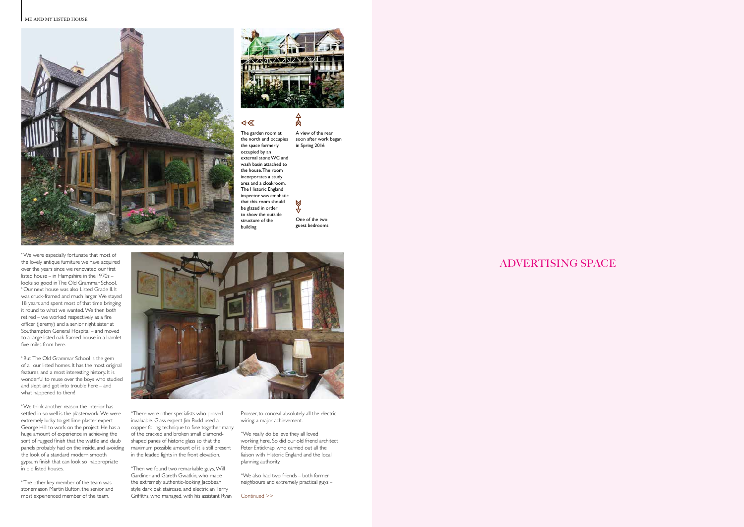#### ME AND MY LISTED HOUSE **A HYMN TO THE ARTS & CRAFTS MOVEMENT**





肏

 $\bowtie$ 

## 4- 区

## ADVERTISING SPACE

The garden room at the north end occupies the space formerly occupied by an external stone WC and wash basin attached to the house. The room incorporates a study area and a cloakroom. The Historic England inspector was emphatic that this room should be glazed in order to show the outside structure of the building

"We were especially fortunate that most of the lovely antique furniture we have acquired over the years since we renovated our first listed house – in Hampshire in the 1970s – looks so good in The Old Grammar School. "Our next house was also Listed Grade II. It was cruck-framed and much larger. We stayed 18 years and spent most of that time bringing it round to what we wanted. We then both retired – we worked respectively as a fire officer (Jeremy) and a senior night sister at Southampton General Hospital – and moved

to a large listed oak framed house in a hamlet

five miles from here.

Griffiths, who managed, with his assistant Ryan Continued >> "Then we found two remarkable guys, Will Gardiner and Gareth Gwatkin, who made the extremely authentic-looking Jacobean style dark oak staircase, and electrician Terry

Prosser, to conceal absolutely all the electric wiring: a major achievement.

"But The Old Grammar School is the gem of all our listed homes. It has the most original features, and a most interesting history. It is wonderful to muse over the boys who studied and slept and got into trouble here – and what happened to them!

"We think another reason the interior has settled in so well is the plasterwork. We were extremely lucky to get lime plaster expert George Hill to work on the project. He has a huge amount of experience in achieving the sort of rugged finish that the wattle and daub panels probably had on the inside, and avoiding the look of a standard modern smooth gypsum finish that can look so inappropriate in old listed houses.

"The other key member of the team was stonemason Martin Bufton, the senior and most experienced member of the team.



"There were other specialists who proved invaluable. Glass expert Jim Budd used a copper foiling technique to fuse together many of the cracked and broken small diamondshaped panes of historic glass so that the maximum possible amount of it is still present in the leaded lights in the front elevation.

"We really do believe they all loved working here. So did our old friend architect Peter Enticknap, who carried out all the liaison with Historic England and the local planning authority.

"We also had two friends – both former neighbours and extremely practical guys –

A view of the rear soon after work began in Spring 2016

One of the two guest bedrooms